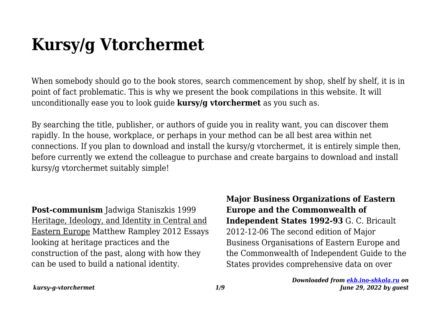## **Kursy/g Vtorchermet**

When somebody should go to the book stores, search commencement by shop, shelf by shelf, it is in point of fact problematic. This is why we present the book compilations in this website. It will unconditionally ease you to look guide **kursy/g vtorchermet** as you such as.

By searching the title, publisher, or authors of guide you in reality want, you can discover them rapidly. In the house, workplace, or perhaps in your method can be all best area within net connections. If you plan to download and install the kursy/g vtorchermet, it is entirely simple then, before currently we extend the colleague to purchase and create bargains to download and install kursy/g vtorchermet suitably simple!

**Post-communism** Jadwiga Staniszkis 1999 Heritage, Ideology, and Identity in Central and Eastern Europe Matthew Rampley 2012 Essays looking at heritage practices and the construction of the past, along with how they can be used to build a national identity.

**Major Business Organizations of Eastern Europe and the Commonwealth of Independent States 1992-93** G. C. Bricault 2012-12-06 The second edition of Major Business Organisations of Eastern Europe and the Commonwealth of Independent Guide to the States provides comprehensive data on over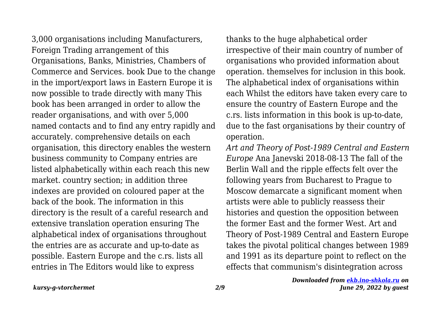3,000 organisations including Manufacturers, Foreign Trading arrangement of this Organisations, Banks, Ministries, Chambers of Commerce and Services. book Due to the change in the import/export laws in Eastern Europe it is now possible to trade directly with many This book has been arranged in order to allow the reader organisations, and with over 5,000 named contacts and to find any entry rapidly and accurately. comprehensive details on each organisation, this directory enables the western business community to Company entries are listed alphabetically within each reach this new market. country section; in addition three indexes are provided on coloured paper at the back of the book. The information in this directory is the result of a careful research and extensive translation operation ensuring The alphabetical index of organisations throughout the entries are as accurate and up-to-date as possible. Eastern Europe and the c.rs. lists all entries in The Editors would like to express

thanks to the huge alphabetical order irrespective of their main country of number of organisations who provided information about operation. themselves for inclusion in this book. The alphabetical index of organisations within each Whilst the editors have taken every care to ensure the country of Eastern Europe and the c.rs. lists information in this book is up-to-date, due to the fast organisations by their country of operation.

*Art and Theory of Post-1989 Central and Eastern Europe* Ana Janevski 2018-08-13 The fall of the Berlin Wall and the ripple effects felt over the following years from Bucharest to Prague to Moscow demarcate a significant moment when artists were able to publicly reassess their histories and question the opposition between the former East and the former West. Art and Theory of Post-1989 Central and Eastern Europe takes the pivotal political changes between 1989 and 1991 as its departure point to reflect on the effects that communism's disintegration across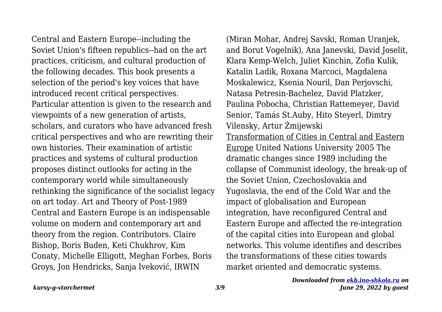Central and Eastern Europe--including the Soviet Union's fifteen republics--had on the art practices, criticism, and cultural production of the following decades. This book presents a selection of the period's key voices that have introduced recent critical perspectives. Particular attention is given to the research and viewpoints of a new generation of artists, scholars, and curators who have advanced fresh critical perspectives and who are rewriting their own histories. Their examination of artistic practices and systems of cultural production proposes distinct outlooks for acting in the contemporary world while simultaneously rethinking the significance of the socialist legacy on art today. Art and Theory of Post-1989 Central and Eastern Europe is an indispensable volume on modern and contemporary art and theory from the region. Contributors. Claire Bishop, Boris Buden, Keti Chukhrov, Kim Conaty, Michelle Elligott, Meghan Forbes, Boris Groys, Jon Hendricks, Sanja Iveković, IRWIN

(Miran Mohar, Andrej Savski, Roman Uranjek, and Borut Vogelnik), Ana Janevski, David Joselit, Klara Kemp-Welch, Juliet Kinchin, Zofia Kulik, Katalin Ladik, Roxana Marcoci, Magdalena Moskalewicz, Ksenia Nouril, Dan Perjovschi, Natasa Petresin-Bachelez, David Platzker, Paulina Pobocha, Christian Rattemeyer, David Senior, Tamás St.Auby, Hito Steyerl, Dimtry Vilensky, Artur Żmijewski Transformation of Cities in Central and Eastern Europe United Nations University 2005 The dramatic changes since 1989 including the collapse of Communist ideology, the break-up of the Soviet Union, Czechoslovakia and Yugoslavia, the end of the Cold War and the impact of globalisation and European integration, have reconfigured Central and Eastern Europe and affected the re-integration of the capital cities into European and global networks. This volume identifies and describes the transformations of these cities towards market oriented and democratic systems.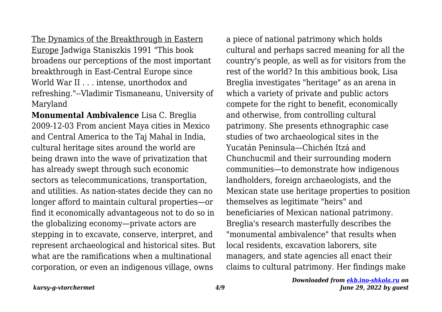The Dynamics of the Breakthrough in Eastern Europe Jadwiga Staniszkis 1991 "This book broadens our perceptions of the most important breakthrough in East-Central Europe since World War II . . . intense, unorthodox and refreshing."--Vladimir Tismaneanu, University of Maryland

**Monumental Ambivalence** Lisa C. Breglia 2009-12-03 From ancient Maya cities in Mexico and Central America to the Taj Mahal in India, cultural heritage sites around the world are being drawn into the wave of privatization that has already swept through such economic sectors as telecommunications, transportation, and utilities. As nation-states decide they can no longer afford to maintain cultural properties—or find it economically advantageous not to do so in the globalizing economy—private actors are stepping in to excavate, conserve, interpret, and represent archaeological and historical sites. But what are the ramifications when a multinational corporation, or even an indigenous village, owns

a piece of national patrimony which holds cultural and perhaps sacred meaning for all the country's people, as well as for visitors from the rest of the world? In this ambitious book, Lisa Breglia investigates "heritage" as an arena in which a variety of private and public actors compete for the right to benefit, economically and otherwise, from controlling cultural patrimony. She presents ethnographic case studies of two archaeological sites in the Yucatán Peninsula—Chichén Itzá and Chunchucmil and their surrounding modern communities—to demonstrate how indigenous landholders, foreign archaeologists, and the Mexican state use heritage properties to position themselves as legitimate "heirs" and beneficiaries of Mexican national patrimony. Breglia's research masterfully describes the "monumental ambivalence" that results when local residents, excavation laborers, site managers, and state agencies all enact their claims to cultural patrimony. Her findings make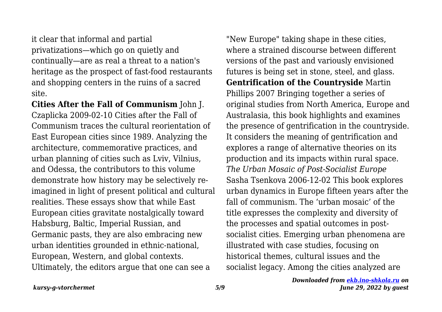it clear that informal and partial privatizations—which go on quietly and continually—are as real a threat to a nation's heritage as the prospect of fast-food restaurants and shopping centers in the ruins of a sacred site.

**Cities After the Fall of Communism** John J. Czaplicka 2009-02-10 Cities after the Fall of Communism traces the cultural reorientation of East European cities since 1989. Analyzing the architecture, commemorative practices, and urban planning of cities such as Lviv, Vilnius, and Odessa, the contributors to this volume demonstrate how history may be selectively reimagined in light of present political and cultural realities. These essays show that while East European cities gravitate nostalgically toward Habsburg, Baltic, Imperial Russian, and Germanic pasts, they are also embracing new urban identities grounded in ethnic-national, European, Western, and global contexts. Ultimately, the editors argue that one can see a

"New Europe" taking shape in these cities, where a strained discourse between different versions of the past and variously envisioned futures is being set in stone, steel, and glass. **Gentrification of the Countryside** Martin Phillips 2007 Bringing together a series of original studies from North America, Europe and Australasia, this book highlights and examines the presence of gentrification in the countryside. It considers the meaning of gentrification and explores a range of alternative theories on its production and its impacts within rural space. *The Urban Mosaic of Post-Socialist Europe* Sasha Tsenkova 2006-12-02 This book explores urban dynamics in Europe fifteen years after the fall of communism. The 'urban mosaic' of the title expresses the complexity and diversity of the processes and spatial outcomes in postsocialist cities. Emerging urban phenomena are illustrated with case studies, focusing on historical themes, cultural issues and the socialist legacy. Among the cities analyzed are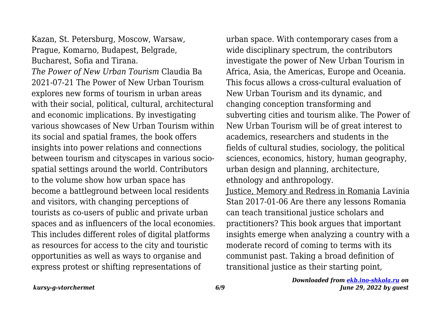Kazan, St. Petersburg, Moscow, Warsaw, Prague, Komarno, Budapest, Belgrade, Bucharest, Sofia and Tirana.

*The Power of New Urban Tourism* Claudia Ba 2021-07-21 The Power of New Urban Tourism explores new forms of tourism in urban areas with their social, political, cultural, architectural and economic implications. By investigating various showcases of New Urban Tourism within its social and spatial frames, the book offers insights into power relations and connections between tourism and cityscapes in various sociospatial settings around the world. Contributors to the volume show how urban space has become a battleground between local residents and visitors, with changing perceptions of tourists as co-users of public and private urban spaces and as influencers of the local economies. This includes different roles of digital platforms as resources for access to the city and touristic opportunities as well as ways to organise and express protest or shifting representations of

urban space. With contemporary cases from a wide disciplinary spectrum, the contributors investigate the power of New Urban Tourism in Africa, Asia, the Americas, Europe and Oceania. This focus allows a cross-cultural evaluation of New Urban Tourism and its dynamic, and changing conception transforming and subverting cities and tourism alike. The Power of New Urban Tourism will be of great interest to academics, researchers and students in the fields of cultural studies, sociology, the political sciences, economics, history, human geography, urban design and planning, architecture, ethnology and anthropology.

Justice, Memory and Redress in Romania Lavinia Stan 2017-01-06 Are there any lessons Romania can teach transitional justice scholars and practitioners? This book argues that important insights emerge when analyzing a country with a moderate record of coming to terms with its communist past. Taking a broad definition of transitional justice as their starting point,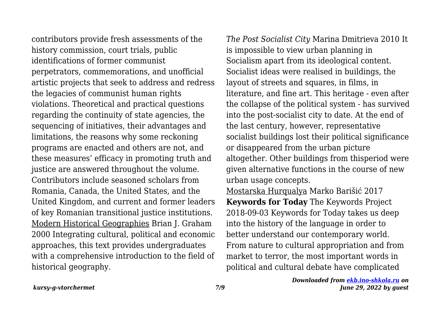contributors provide fresh assessments of the history commission, court trials, public identifications of former communist perpetrators, commemorations, and unofficial artistic projects that seek to address and redress the legacies of communist human rights violations. Theoretical and practical questions regarding the continuity of state agencies, the sequencing of initiatives, their advantages and limitations, the reasons why some reckoning programs are enacted and others are not, and these measures' efficacy in promoting truth and justice are answered throughout the volume. Contributors include seasoned scholars from Romania, Canada, the United States, and the United Kingdom, and current and former leaders of key Romanian transitional justice institutions. Modern Historical Geographies Brian J. Graham 2000 Integrating cultural, political and economic approaches, this text provides undergraduates with a comprehensive introduction to the field of historical geography.

*The Post Socialist City* Marina Dmitrieva 2010 It is impossible to view urban planning in Socialism apart from its ideological content. Socialist ideas were realised in buildings, the layout of streets and squares, in films, in literature, and fine art. This heritage - even after the collapse of the political system - has survived into the post-socialist city to date. At the end of the last century, however, representative socialist buildings lost their political significance or disappeared from the urban picture altogether. Other buildings from thisperiod were given alternative functions in the course of new urban usage concepts.

Mostarska Hurqualya Marko Barišić 2017 **Keywords for Today** The Keywords Project 2018-09-03 Keywords for Today takes us deep into the history of the language in order to better understand our contemporary world. From nature to cultural appropriation and from market to terror, the most important words in political and cultural debate have complicated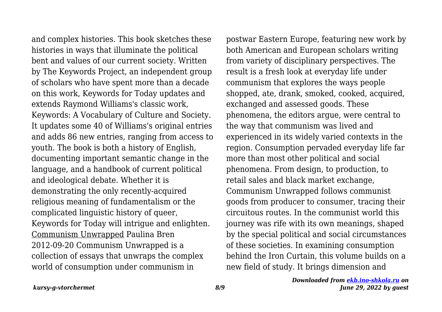and complex histories. This book sketches these histories in ways that illuminate the political bent and values of our current society. Written by The Keywords Project, an independent group of scholars who have spent more than a decade on this work, Keywords for Today updates and extends Raymond Williams's classic work, Keywords: A Vocabulary of Culture and Society. It updates some 40 of Williams's original entries and adds 86 new entries, ranging from access to youth. The book is both a history of English, documenting important semantic change in the language, and a handbook of current political and ideological debate. Whether it is demonstrating the only recently-acquired religious meaning of fundamentalism or the complicated linguistic history of queer, Keywords for Today will intrigue and enlighten. Communism Unwrapped Paulina Bren 2012-09-20 Communism Unwrapped is a collection of essays that unwraps the complex world of consumption under communism in

postwar Eastern Europe, featuring new work by both American and European scholars writing from variety of disciplinary perspectives. The result is a fresh look at everyday life under communism that explores the ways people shopped, ate, drank, smoked, cooked, acquired, exchanged and assessed goods. These phenomena, the editors argue, were central to the way that communism was lived and experienced in its widely varied contexts in the region. Consumption pervaded everyday life far more than most other political and social phenomena. From design, to production, to retail sales and black market exchange, Communism Unwrapped follows communist goods from producer to consumer, tracing their circuitous routes. In the communist world this journey was rife with its own meanings, shaped by the special political and social circumstances of these societies. In examining consumption behind the Iron Curtain, this volume builds on a new field of study. It brings dimension and